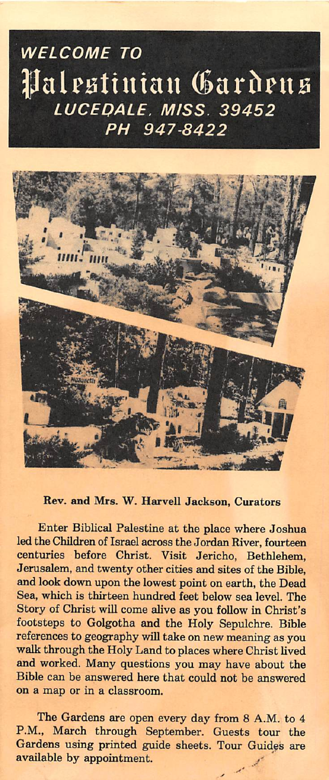## WELCOME TO Palestinian Gardens **LUCEDALE. MISS. 39452** PH 947-8422



Rev. and Mrs. W. Harvell Jackson, Curators

Enter Biblical Palestine at the place where Joshua led the Children of Israel across the Jordan River, fourteen centuries before Christ. Visit Jericho, Bethlehem, Jerusalem, and twenty other cities and sites of the Bible, and look down upon the lowest point on earth, the Dead Sea, which is thirteen hundred feet below sea level. The Story of Christ will come alive as you follow in Christ's footsteps to Golgotha and the Holy Sepulchre. Bible references to geography will take on new meaning as you walk through the Holy Land to places where Christ lived and worked. Many questions you may have about the Bible can be answered here that could not be answered on a map or in a classroom.

The Gardens are open every day from 8 A.M. to 4 P.M., March through September. Guests tour the Gardens using printed guide sheets. Tour Guides are available by appointment.